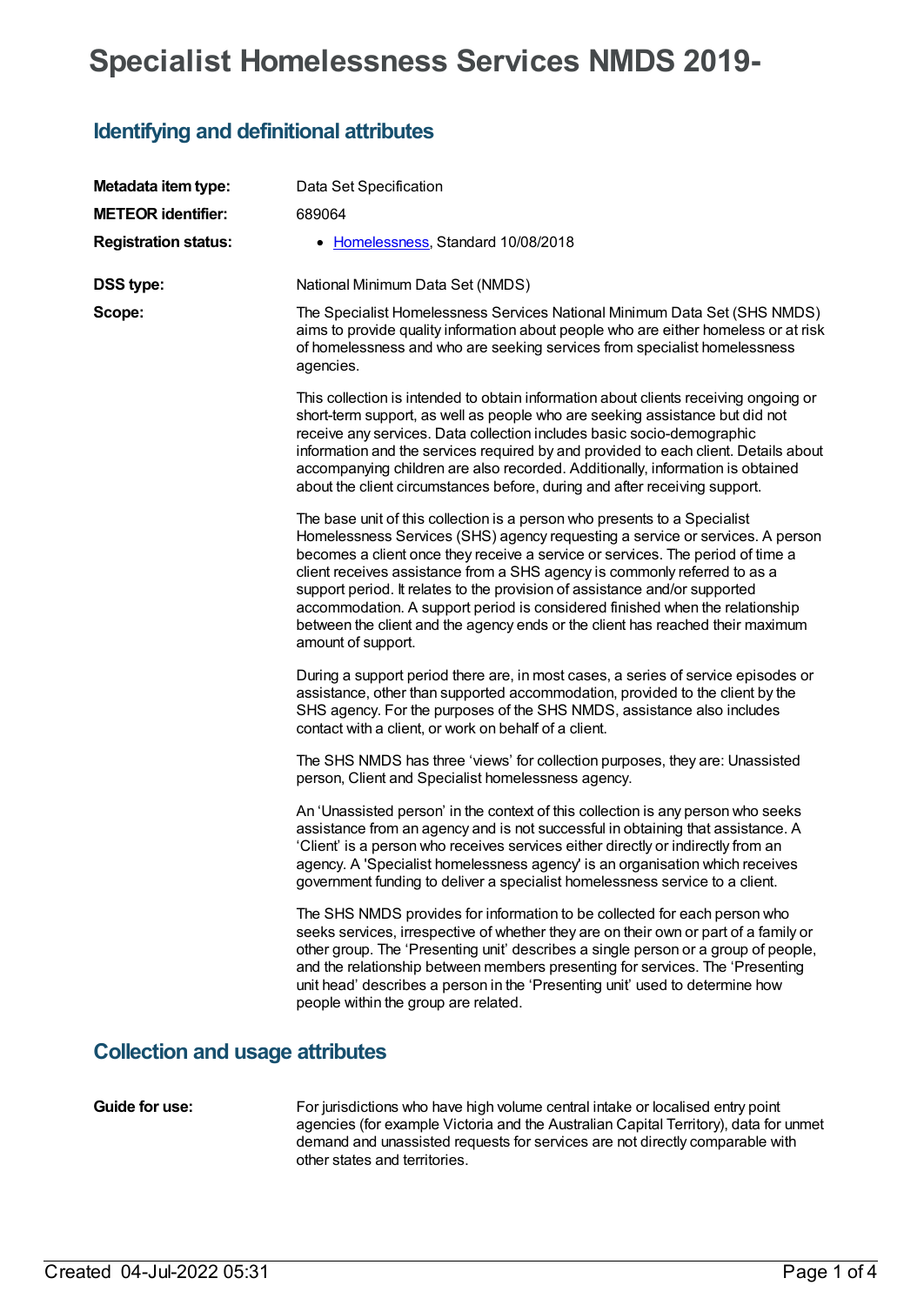# **Specialist Homelessness Services NMDS 2019-**

## **Identifying and definitional attributes**

| Metadata item type:                    | Data Set Specification                                                                                                                                                                                                                                                                                                                                                                                                                                                                                                                                                                          |  |  |  |  |  |
|----------------------------------------|-------------------------------------------------------------------------------------------------------------------------------------------------------------------------------------------------------------------------------------------------------------------------------------------------------------------------------------------------------------------------------------------------------------------------------------------------------------------------------------------------------------------------------------------------------------------------------------------------|--|--|--|--|--|
| <b>METEOR identifier:</b>              | 689064                                                                                                                                                                                                                                                                                                                                                                                                                                                                                                                                                                                          |  |  |  |  |  |
| <b>Registration status:</b>            | • Homelessness, Standard 10/08/2018                                                                                                                                                                                                                                                                                                                                                                                                                                                                                                                                                             |  |  |  |  |  |
| <b>DSS type:</b>                       | National Minimum Data Set (NMDS)                                                                                                                                                                                                                                                                                                                                                                                                                                                                                                                                                                |  |  |  |  |  |
| Scope:                                 | The Specialist Homelessness Services National Minimum Data Set (SHS NMDS)<br>aims to provide quality information about people who are either homeless or at risk<br>of homelessness and who are seeking services from specialist homelessness<br>agencies.                                                                                                                                                                                                                                                                                                                                      |  |  |  |  |  |
|                                        | This collection is intended to obtain information about clients receiving ongoing or<br>short-term support, as well as people who are seeking assistance but did not<br>receive any services. Data collection includes basic socio-demographic<br>information and the services required by and provided to each client. Details about<br>accompanying children are also recorded. Additionally, information is obtained<br>about the client circumstances before, during and after receiving support.                                                                                           |  |  |  |  |  |
|                                        | The base unit of this collection is a person who presents to a Specialist<br>Homelessness Services (SHS) agency requesting a service or services. A person<br>becomes a client once they receive a service or services. The period of time a<br>client receives assistance from a SHS agency is commonly referred to as a<br>support period. It relates to the provision of assistance and/or supported<br>accommodation. A support period is considered finished when the relationship<br>between the client and the agency ends or the client has reached their maximum<br>amount of support. |  |  |  |  |  |
|                                        | During a support period there are, in most cases, a series of service episodes or<br>assistance, other than supported accommodation, provided to the client by the<br>SHS agency. For the purposes of the SHS NMDS, assistance also includes<br>contact with a client, or work on behalf of a client.                                                                                                                                                                                                                                                                                           |  |  |  |  |  |
|                                        | The SHS NMDS has three 'views' for collection purposes, they are: Unassisted<br>person, Client and Specialist homelessness agency.                                                                                                                                                                                                                                                                                                                                                                                                                                                              |  |  |  |  |  |
|                                        | An 'Unassisted person' in the context of this collection is any person who seeks<br>assistance from an agency and is not successful in obtaining that assistance. A<br>'Client' is a person who receives services either directly or indirectly from an<br>agency. A 'Specialist homelessness agency' is an organisation which receives<br>government funding to deliver a specialist homelessness service to a client.                                                                                                                                                                         |  |  |  |  |  |
|                                        | The SHS NMDS provides for information to be collected for each person who<br>seeks services, irrespective of whether they are on their own or part of a family or<br>other group. The 'Presenting unit' describes a single person or a group of people,<br>and the relationship between members presenting for services. The 'Presenting<br>unit head' describes a person in the 'Presenting unit' used to determine how<br>people within the group are related.                                                                                                                                |  |  |  |  |  |
| <b>Collection and usage attributes</b> |                                                                                                                                                                                                                                                                                                                                                                                                                                                                                                                                                                                                 |  |  |  |  |  |

**Guide for use:** For jurisdictions who have high volume central intake or localised entry point agencies (for example Victoria and the Australian Capital Territory), data for unmet demand and unassisted requests for services are not directly comparable with other states and territories.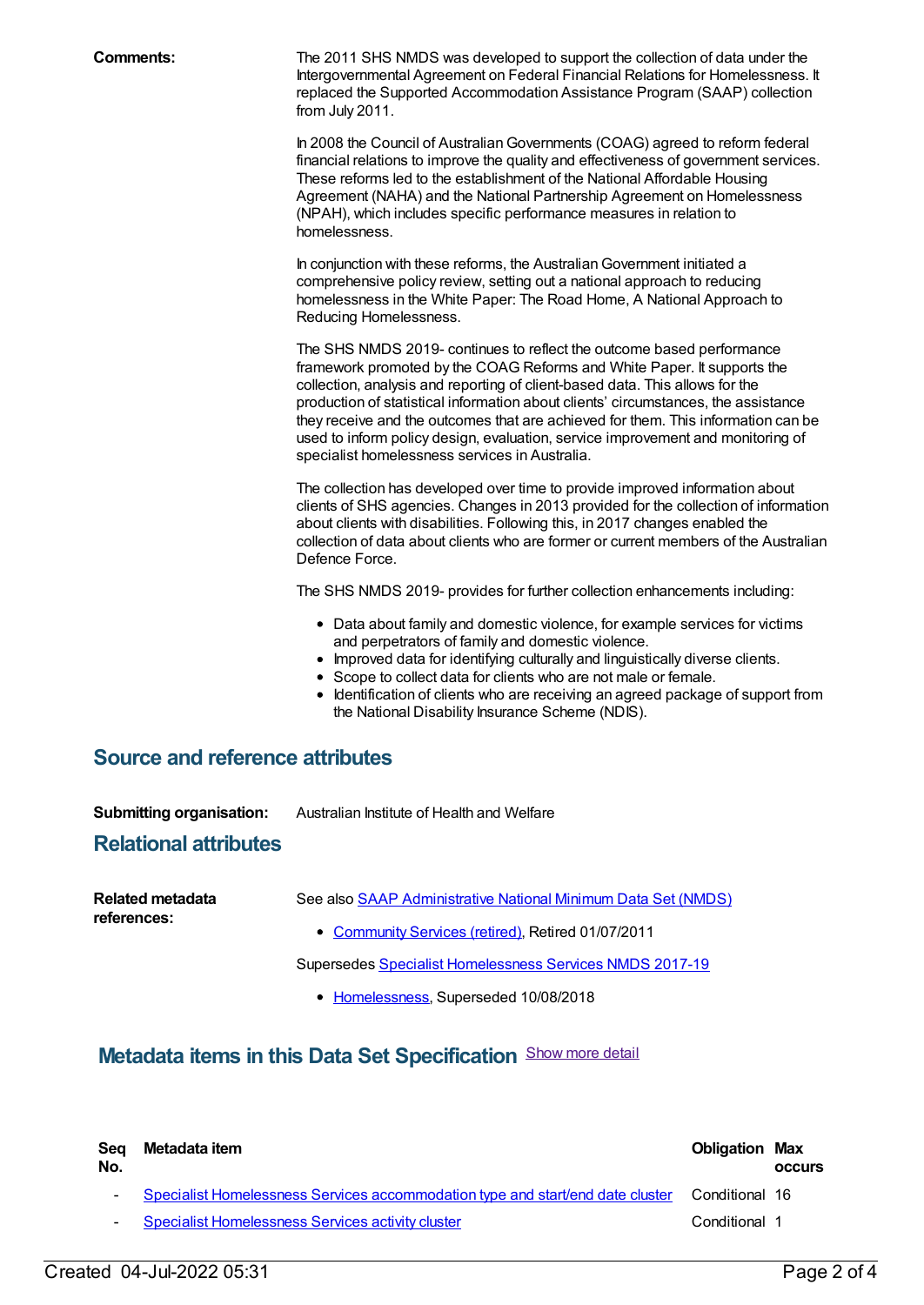**Comments:** The 2011 SHS NMDS was developed to support the collection of data under the Intergovernmental Agreement on Federal Financial Relations for Homelessness. It replaced the Supported Accommodation Assistance Program (SAAP) collection from July 2011.

> In 2008 the Council of Australian Governments (COAG) agreed to reform federal financial relations to improve the quality and effectiveness of government services. These reforms led to the establishment of the National Affordable Housing Agreement (NAHA) and the National Partnership Agreement on Homelessness (NPAH), which includes specific performance measures in relation to homelessness.

In conjunction with these reforms, the AustralianGovernment initiated a comprehensive policy review, setting out a national approach to reducing homelessness in the White Paper: The Road Home, A National Approach to Reducing Homelessness.

The SHS NMDS 2019- continues to reflect the outcome based performance framework promoted by the COAG Reforms and White Paper. It supports the collection, analysis and reporting of client-based data. This allows for the production of statistical information about clients' circumstances, the assistance they receive and the outcomes that are achieved for them. This information can be used to inform policy design, evaluation, service improvement and monitoring of specialist homelessness services in Australia.

The collection has developed over time to provide improved information about clients of SHS agencies. Changes in 2013 provided for the collection of information about clients with disabilities. Following this, in 2017 changes enabled the collection of data about clients who are former or current members of the Australian Defence Force.

The SHS NMDS 2019- provides for further collection enhancements including:

- Data about family and domestic violence, for example services for victims and perpetrators of family and domestic violence.
- Improved data for identifying culturally and linguistically diverse clients.
- Scope to collect data for clients who are not male or female.
- Identification of clients who are receiving an agreed package of support from  $\bullet$ the National Disability Insurance Scheme (NDIS).

### **Source and reference attributes**

**Submitting organisation:** Australian Institute of Health and Welfare

#### **Relational attributes**

| Related metadata<br>references: | See also SAAP Administrative National Minimum Data Set (NMDS) |
|---------------------------------|---------------------------------------------------------------|
|                                 | • Community Services (retired), Retired 01/07/2011            |
|                                 | Supersedes Specialist Homelessness Services NMDS 2017-19      |

• [Homelessness](https://meteor.aihw.gov.au/RegistrationAuthority/14), Superseded 10/08/2018

### **Metadata items in this Data Set Specification** Show more detail

| Sea<br>No. | Metadata item                                                                  | <b>Obligation Max</b> | <b>OCCULS</b> |
|------------|--------------------------------------------------------------------------------|-----------------------|---------------|
|            | Specialist Homelessness Services accommodation type and start/end date cluster | Conditional 16        |               |
|            | <b>Example 1</b> Specialist Homelessness Services activity cluster             | Conditional 1         |               |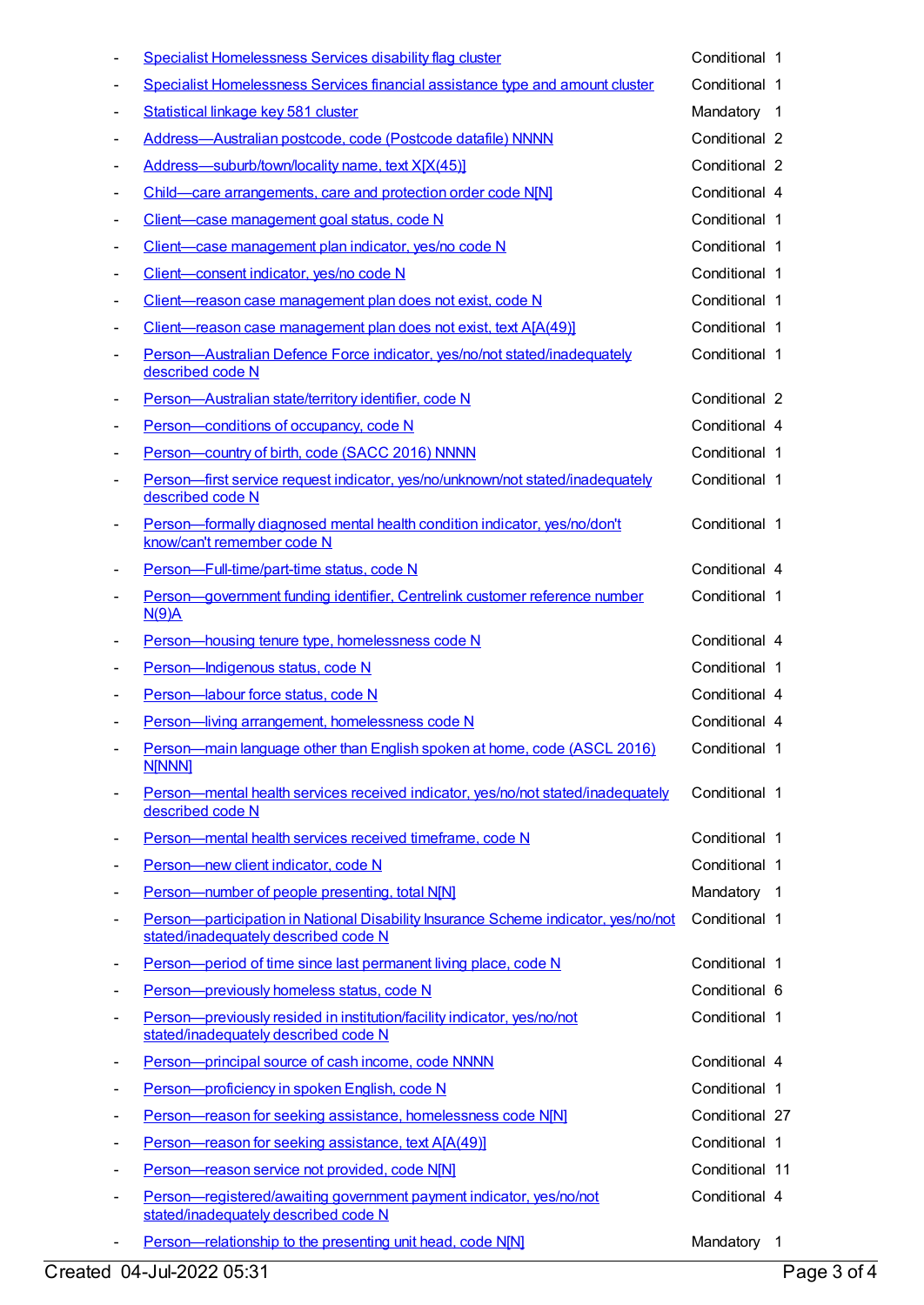| $\blacksquare$           | Specialist Homelessness Services disability flag cluster                                                                   | Conditional 1  |  |
|--------------------------|----------------------------------------------------------------------------------------------------------------------------|----------------|--|
| $\overline{\phantom{a}}$ | Specialist Homelessness Services financial assistance type and amount cluster                                              | Conditional 1  |  |
| $\overline{\phantom{a}}$ | Statistical linkage key 581 cluster                                                                                        | Mandatory 1    |  |
| $\overline{\phantom{a}}$ | Address-Australian postcode, code (Postcode datafile) NNNN                                                                 | Conditional 2  |  |
| $\overline{\phantom{a}}$ | Address-suburb/town/locality name, text X[X(45)]                                                                           | Conditional 2  |  |
| $\blacksquare$           | Child-care arrangements, care and protection order code N[N]                                                               | Conditional 4  |  |
| $\overline{\phantom{a}}$ | Client-case management goal status, code N                                                                                 | Conditional 1  |  |
| $\overline{\phantom{a}}$ | Client-case management plan indicator, yes/no code N                                                                       | Conditional 1  |  |
| $\overline{\phantom{a}}$ | Client-consent indicator, yes/no code N                                                                                    | Conditional 1  |  |
| $\overline{\phantom{a}}$ | Client-reason case management plan does not exist, code N                                                                  | Conditional 1  |  |
| $\blacksquare$           | Client-reason case management plan does not exist, text A[A(49)]                                                           | Conditional 1  |  |
| $\overline{\phantom{a}}$ | Person-Australian Defence Force indicator, yes/no/not stated/inadequately<br>described code N                              | Conditional 1  |  |
| $\overline{\phantom{a}}$ | Person-Australian state/territory identifier, code N                                                                       | Conditional 2  |  |
| $\overline{\phantom{a}}$ | Person-conditions of occupancy, code N                                                                                     | Conditional 4  |  |
| $\overline{\phantom{a}}$ | Person-country of birth, code (SACC 2016) NNNN                                                                             | Conditional 1  |  |
| $\overline{\phantom{a}}$ | Person-first service request indicator, yes/no/unknown/not stated/inadequately<br>described code N                         | Conditional 1  |  |
| $\blacksquare$           | Person-formally diagnosed mental health condition indicator, yes/no/don't<br>know/can't remember code N                    | Conditional 1  |  |
| $\blacksquare$           | Person-Full-time/part-time status, code N                                                                                  | Conditional 4  |  |
| $\blacksquare$           | Person-government funding identifier, Centrelink customer reference number<br>N(9)A                                        | Conditional 1  |  |
| $\blacksquare$           | Person-housing tenure type, homelessness code N                                                                            | Conditional 4  |  |
| $\overline{\phantom{a}}$ | Person-Indigenous status, code N                                                                                           | Conditional 1  |  |
| $\overline{\phantom{a}}$ | Person-labour force status, code N                                                                                         | Conditional 4  |  |
| $\overline{\phantom{a}}$ | Person-living arrangement, homelessness code N                                                                             | Conditional 4  |  |
|                          | Person-main language other than English spoken at home, code (ASCL 2016)<br><b>N[NNN]</b>                                  | Conditional 1  |  |
| $\overline{\phantom{a}}$ | Person—mental health services received indicator, yes/no/not stated/inadequately<br>described code N                       | Conditional 1  |  |
| $\blacksquare$           | Person-mental health services received timeframe, code N                                                                   | Conditional 1  |  |
| $\overline{\phantom{a}}$ | Person-new client indicator, code N                                                                                        | Conditional 1  |  |
| $\overline{\phantom{a}}$ | Person-number of people presenting, total N[N]                                                                             | Mandatory 1    |  |
| $\overline{\phantom{a}}$ | Person-participation in National Disability Insurance Scheme indicator, yes/no/not<br>stated/inadequately described code N | Conditional 1  |  |
| $\overline{\phantom{a}}$ | Person-period of time since last permanent living place, code N                                                            | Conditional 1  |  |
| $\overline{\phantom{a}}$ | Person-previously homeless status, code N                                                                                  | Conditional 6  |  |
| $\blacksquare$           | Person-previously resided in institution/facility indicator, yes/no/not<br>stated/inadequately described code N            | Conditional 1  |  |
| $\blacksquare$           | Person-principal source of cash income, code NNNN                                                                          | Conditional 4  |  |
| $\overline{\phantom{a}}$ | Person-proficiency in spoken English, code N                                                                               | Conditional 1  |  |
| $\overline{\phantom{a}}$ | Person-reason for seeking assistance, homelessness code N[N]                                                               | Conditional 27 |  |
| $\overline{\phantom{a}}$ | Person-reason for seeking assistance, text A[A(49)]                                                                        | Conditional 1  |  |
| $\overline{\phantom{a}}$ | Person-reason service not provided, code N[N]                                                                              | Conditional 11 |  |
| $\overline{\phantom{a}}$ | Person-registered/awaiting government payment indicator, yes/no/not<br>stated/inadequately described code N                | Conditional 4  |  |
| ٠                        | Person-relationship to the presenting unit head, code N[N]                                                                 | Mandatory 1    |  |